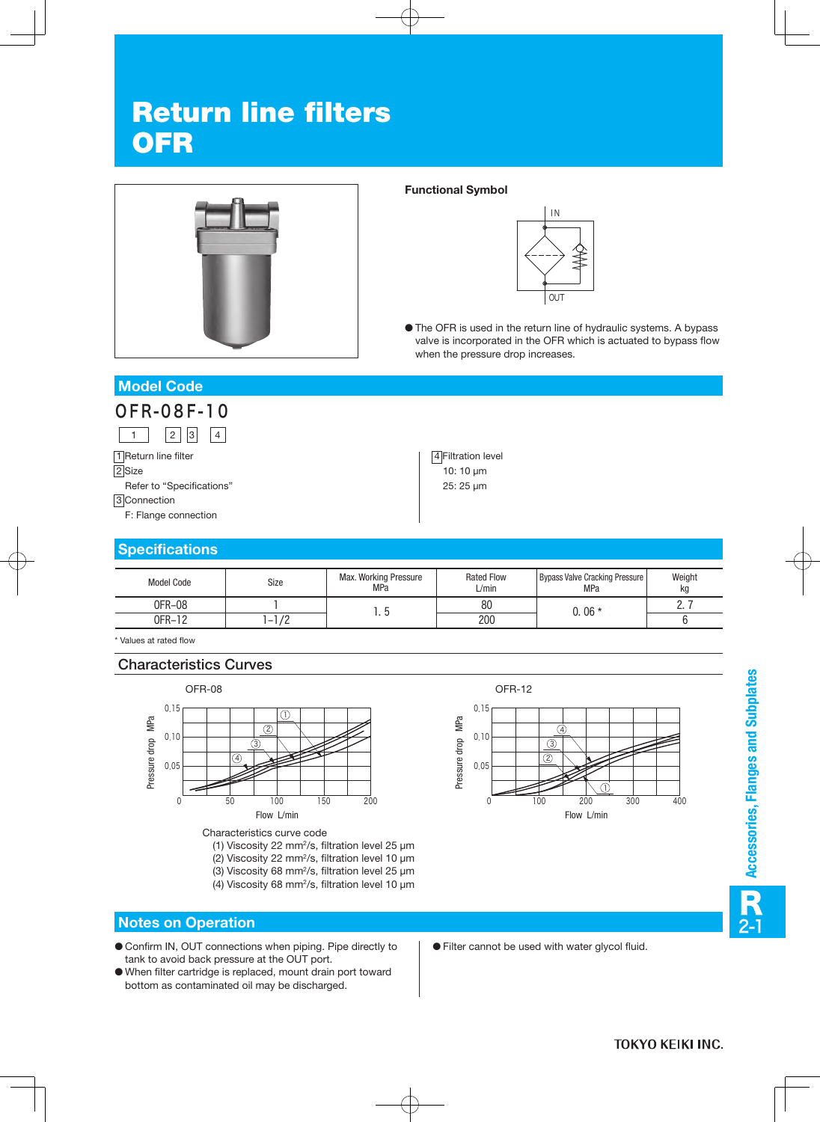# Return line filters **OFR**



#### **Functional Symbol**

4 Filtration level 10: 10 μm 25: 25 μm



● The OFR is used in the return line of hydraulic systems. A bypass valve is incorporated in the OFR which is actuated to bypass flow when the pressure drop increases.

## **Model Code**



1 Return line filter 2<sub>Size</sub> Refer to "Specifications" 3 Connection F: Flange connection

## **Specifications**

| Model Code | Size                                  | <b>Max. Working Pressure</b><br><b>MPa</b> | <b>Rated Flow</b><br>$\cup$ min | Bypass Valve Cracking Pressure<br>MPa | Weight<br>kg |
|------------|---------------------------------------|--------------------------------------------|---------------------------------|---------------------------------------|--------------|
| OFR-08     |                                       |                                            | 80                              | $0.06*$                               | <u>.</u>     |
| OFR-12     | ר ו<br>$\overline{\phantom{a}}$<br>74 | ن. ا                                       | 200                             |                                       |              |

\* Values at rated flow

#### Characteristics Curves



- (1) Viscosity 22 mm2/s, filtration level 25 μm
- (2) Viscosity 22 mm2/s, filtration level 10 μm
- (3) Viscosity 68 mm2/s, filtration level 25 μm
- (4) Viscosity 68 mm2/s, filtration level 10 μm

#### **Notes on Operation**

- Confirm IN, OUT connections when piping. Pipe directly to tank to avoid back pressure at the OUT port.
- When filter cartridge is replaced, mount drain port toward bottom as contaminated oil may be discharged.



- Accessories, Flanges and Subplates 2-1**Accessories, Flanges and Subplates** R
- Filter cannot be used with water glycol fluid.